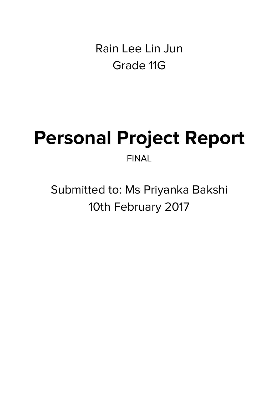Rain Lee Lin Jun Grade 11G

## **Personal Project Report** FINAL

Submitted to: Ms Priyanka Bakshi 10th February 2017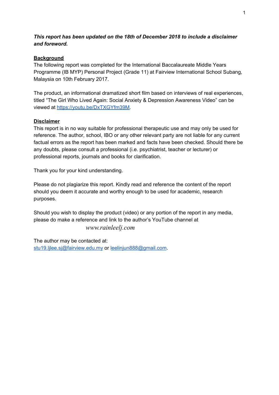#### *This report has been updated on the 18th of December 2018 to include a disclaimer and foreword.*

#### **Background**

The following report was completed for the International Baccalaureate Middle Years Programme (IB MYP) Personal Project (Grade 11) at Fairview International School Subang, Malaysia on 10th February 2017.

The product, an informational dramatized short film based on interviews of real experiences, titled "The Girl Who Lived Again: Social Anxiety & Depression Awareness Video" can be viewed at [https://youtu.be/DxTXGYfm39M.](https://youtu.be/DxTXGYfm39M)

#### **Disclaimer**

This report is in no way suitable for professional therapeutic use and may only be used for reference. The author, school, IBO or any other relevant party are not liable for any current factual errors as the report has been marked and facts have been checked. Should there be any doubts, please consult a professional (i.e. psychiatrist, teacher or lecturer) or professional reports, journals and books for clarification.

Thank you for your kind understanding.

Please do not plagiarize this report. Kindly read and reference the content of the report should you deem it accurate and worthy enough to be used for academic, research purposes.

Should you wish to display the product (video) or any portion of the report in any media, please do make a reference and link to the author's YouTube channel at

#### www.rainleelj.com

The author may be contacted at: [stu19.ljlee.sj@fairview.edu.my](mailto:stu19.ljlee.sj@fairview.edu.my) or [leelinjun888@gmail.com](mailto:leelinjun888@gmail.com).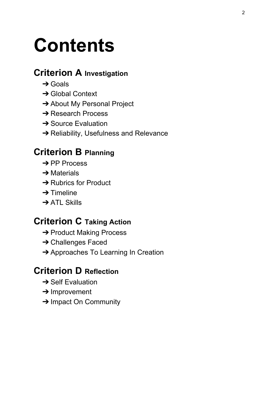# **Contents**

### **Criterion A Investigation**

- $\rightarrow$  Goals
- **→ Global Context**
- **→ About My Personal Project**
- **→ Research Process**
- **→ Source Evaluation**
- **→ Reliability, Usefulness and Relevance**

### **Criterion B Planning**

- **→ PP Process**
- $\rightarrow$  Materials
- **→ Rubrics for Product**
- $\rightarrow$  Timeline
- **→ ATL Skills**

### **Criterion C Taking Action**

- **→ Product Making Process**
- **→ Challenges Faced**
- **→ Approaches To Learning In Creation**

### **Criterion D Reflection**

- **→ Self Evaluation**
- **→ Improvement**
- **→ Impact On Community**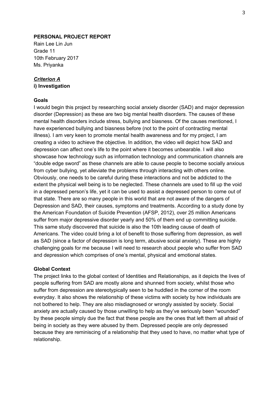#### **PERSONAL PROJECT REPORT**

Rain Lee Lin Jun Grade 11 10th February 2017 Ms. Priyanka

#### *Criterion A*

**i) Investigation**

#### **Goals**

I would begin this project by researching social anxiety disorder (SAD) and major depression disorder (Depression) as these are two big mental health disorders. The causes of these mental health disorders include stress, bullying and biasness. Of the causes mentioned, I have experienced bullying and biasness before (not to the point of contracting mental illness). I am very keen to promote mental health awareness and for my project, I am creating a video to achieve the objective. In addition, the video will depict how SAD and depression can affect one's life to the point where it becomes unbearable. I will also showcase how technology such as information technology and communication channels are "double edge sword" as these channels are able to cause people to become socially anxious from cyber bullying, yet alleviate the problems through interacting with others online. Obviously, one needs to be careful during these interactions and not be addicted to the extent the physical well being is to be neglected. These channels are used to fill up the void in a depressed person's life, yet it can be used to assist a depressed person to come out of that state. There are so many people in this world that are not aware of the dangers of Depression and SAD, their causes, symptoms and treatments. According to a study done by the American Foundation of Suicide Prevention (AFSP, 2012), over 25 million Americans suffer from major depressive disorder yearly and 50% of them end up committing suicide. This same study discovered that suicide is also the 10th leading cause of death of Americans. The video could bring a lot of benefit to those suffering from depression, as well as SAD (since a factor of depression is long term, abusive social anxiety). These are highly challenging goals for me because I will need to research about people who suffer from SAD and depression which comprises of one's mental, physical and emotional states.

#### **Global Context**

The project links to the global context of Identities and Relationships, as it depicts the lives of people suffering from SAD are mostly alone and shunned from society, whilst those who suffer from depression are stereotypically seen to be huddled in the corner of the room everyday. It also shows the relationship of these victims with society by how individuals are not bothered to help. They are also misdiagnosed or wrongly assisted by society. Social anxiety are actually caused by those unwilling to help as they've seriously been "wounded" by these people simply due the fact that these people are the ones that left them all afraid of being in society as they were abused by them. Depressed people are only depressed because they are reminiscing of a relationship that they used to have, no matter what type of relationship.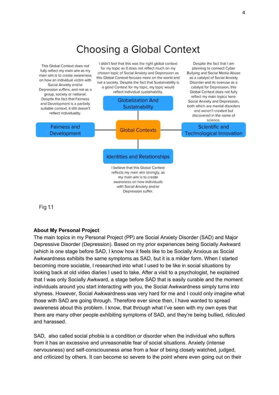### Choosing a Global Context



Fig 1.1

#### **About My Personal Project**

The main topics in my Personal Project (PP) are Social Anxiety Disorder (SAD) and Major Depressive Disorder (Depression). Based on my prior experiences being Socially Awkward (which is one stage before SAD, I know how it feels like to be Socially Anxious as Social Awkwardness exhibits the same symptoms as SAD, but it is a milder form. When I started becoming more sociable, I researched into what I used to be like in social situations by looking back at old video diaries I used to take. After a visit to a psychologist, he explained that I was only Socially Awkward, a stage before SAD that is easily curable and the moment individuals around you start interacting with you, the Social Awkwardness simply turns into shyness. However, Social Awkwardness was very hard for me and I could only imagine what those with SAD are going through. Therefore ever since then, I have wanted to spread awareness about this problem. I know, that through what I've seen with my own eyes that there are many other people exhibiting symptoms of SAD, and they're being bullied, ridiculed and harassed.

SAD, also called social phobia is a condition or disorder when the individual who suffers from it has an excessive and unreasonable fear of social situations. Anxiety (intense nervousness) and self-consciousness arise from a fear of being closely watched, judged, and criticized by others. It can become so severe to the point where even going out on their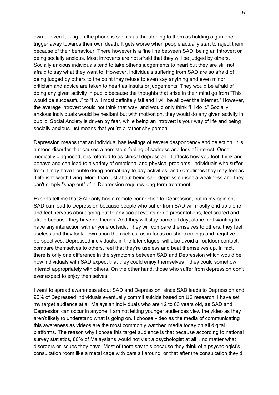own or even talking on the phone is seems as threatening to them as holding a gun one trigger away towards their own death. It gets worse when people actually start to reject them because of their behaviour. There however is a fine line between SAD, being an introvert or being socially anxious. Most introverts are not afraid that they will be judged by others. Socially anxious individuals tend to take other's judgements to heart but they are still not afraid to say what they want to. However, individuals suffering from SAD are so afraid of being judged by others to the point they refuse to even say anything and even minor criticism and advice are taken to heart as insults or judgements. They would be afraid of doing any given activity in public because the thoughts that arise in their mind go from "This would be successful." to "I will most definitely fail and I will be all over the internet." However, the average introvert would not think that way, and would only think "I'll do it." Socially anxious individuals would be hesitant but with motivation, they would do any given activity in public. Social Anxiety is driven by fear, while being an introvert is your way of life and being socially anxious just means that you're a rather shy person.

Depression means that an individual has feelings of severe despondency and dejection. It is a mood disorder that causes a persistent feeling of sadness and loss of interest. Once medically diagnosed, it is referred to as clinical depression. It affects how you feel, think and behave and can lead to a variety of emotional and physical problems. Individuals who suffer from it may have trouble doing normal day-to-day activities, and sometimes they may feel as if life isn't worth living. More than just about being sad, depression isn't a weakness and they can't simply "snap out" of it. Depression requires long-term treatment.

Experts tell me that SAD only has a remote connection to Depression, but in my opinion, SAD can lead to Depression because people who suffer from SAD will mostly end up alone and feel nervous about going out to any social events or do presentations, feel scared and afraid because they have no friends. And they will stay home all day, alone, not wanting to have any interaction with anyone outside. They will compare themselves to others, they feel useless and they look down upon themselves, as in focus on shortcomings and negative perspectives. Depressed individuals, in the later stages, will also avoid all outdoor contact, compare themselves to others, feel that they're useless and beat themselves up. In fact, there is only one difference in the symptoms between SAD and Depression which would be how individuals with SAD expect that they could enjoy themselves if they could somehow interact appropriately with others. On the other hand, those who suffer from depression don't ever expect to enjoy themselves.

I want to spread awareness about SAD and Depression, since SAD leads to Depression and 90% of Depressed individuals eventually commit suicide based on US research. I have set my target audience at all Malaysian individuals who are 12 to 60 years old, as SAD and Depression can occur in anyone. I am not letting younger audiences view the video as they aren't likely to understand what is going on. I choose video as the media of communicating this awareness as videos are the most commonly watched media today on all digital platforms. The reason why I chose this target audience is that because according to national survey statistics, 80% of Malaysians would not visit a psychologist at all , no matter what disorders or issues they have. Most of them say this because they think of a psychologist's consultation room like a metal cage with bars all around, or that after the consultation they'd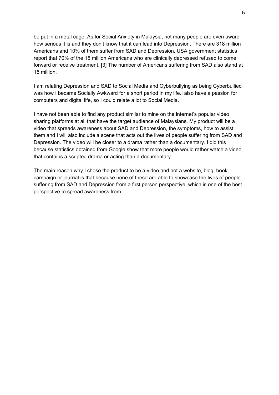be put in a metal cage. As for Social Anxiety in Malaysia, not many people are even aware how serious it is and they don't know that it can lead into Depression. There are 318 million Americans and 10% of them suffer from SAD and Depression. USA government statistics report that 70% of the 15 million Americans who are clinically depressed refused to come forward or receive treatment. [3] The number of Americans suffering from SAD also stand at 15 million.

I am relating Depression and SAD to Social Media and Cyberbullying as being Cyberbullied was how I became Socially Awkward for a short period in my life.I also have a passion for computers and digital life, so I could relate a lot to Social Media.

I have not been able to find any product similar to mine on the internet's popular video sharing platforms at all that have the target audience of Malaysians. My product will be a video that spreads awareness about SAD and Depression, the symptoms, how to assist them and I will also include a scene that acts out the lives of people suffering from SAD and Depression. The video will be closer to a drama rather than a documentary. I did this because statistics obtained from Google show that more people would rather watch a video that contains a scripted drama or acting than a documentary.

The main reason why I chose the product to be a video and not a website, blog, book, campaign or journal is that because none of these are able to showcase the lives of people suffering from SAD and Depression from a first person perspective, which is one of the best perspective to spread awareness from.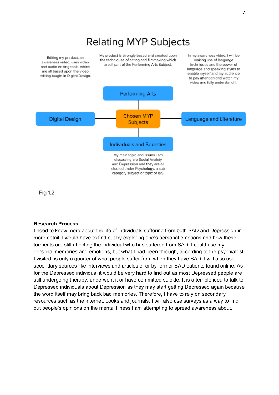### **Relating MYP Subjects**

Editing my product, an awareness video, uses video and audio editing tools, which are all based upon the video editing taught in Digital Design. My product is strongly based and created upon the techniques of acting and filmmaking which areall part of the Performing Arts Subject.

In my awareness video, I will be making use of language techniques and the power of language and speaking styles to enable myself and my audience to pay attention and watch my video and fully understand it.



Fig 1.2

#### **Research Process**

I need to know more about the life of individuals suffering from both SAD and Depression in more detail. I would have to find out by exploring one's personal emotions and how these torments are still affecting the individual who has suffered from SAD. I could use my personal memories and emotions, but what I had been through, according to the psychiatrist I visited, is only a quarter of what people suffer from when they have SAD. I will also use secondary sources like interviews and articles of or by former SAD patients found online. As for the Depressed individual it would be very hard to find out as most Depressed people are still undergoing therapy, underwent it or have committed suicide. It is a terrible idea to talk to Depressed individuals about Depression as they may start getting Depressed again because the word itself may bring back bad memories. Therefore, I have to rely on secondary resources such as the internet, books and journals. I will also use surveys as a way to find out people's opinions on the mental illness I am attempting to spread awareness about.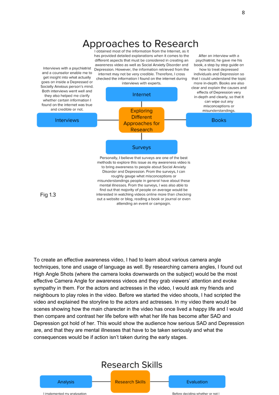

interested in watching videos online more than checking out a website or blog, reading a book or journal or even attending an event or campagin.

Fig 1.3

To create an effective awareness video, I had to learn about various camera angle techniques, tone and usage of language as well. By researching camera angles, I found out High Angle Shots (where the camera looks downwards on the subject) would be the most effective Camera Angle for awareness videos and they grab viewers' attention and evoke sympathy in them. For the actors and actresses in the video, I would ask my friends and neighbours to play roles in the video. Before we started the video shoots, I had scripted the video and explained the storyline to the actors and actresses. In my video there would be scenes showing how the main charecter in the video has once lived a happy life and I would then compare and contrast her life before with what her life has become after SAD and Depression got hold of her. This would show the audience how serious SAD and Depression are, and that they are mental illnesses that have to be taken seriously and what the consequences would be if action isn't taken during the early stages.

### **Research Skills**

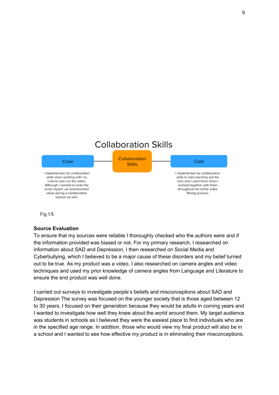### **Collaboration Skills**





#### **Source Evaluation**

To ensure that my sources were reliable I thoroughly checked who the authors were and if the information provided was biased or not. For my primary research, I researched on information about SAD and Depression, I then researched on Social Media and Cyberbullying, which I believed to be a major cause of these disorders and my belief turned out to be true. As my product was a video, I also researched on camera angles and video techniques and used my prior knowledge of camera angles from Language and Literature to ensure the end product was well done.

I carried out surveys to investigate people's beliefs and misconceptions about SAD and Depression The survey was focused on the younger society that is those aged between 12 to 30 years. I focused on their generation because they would be adults in coming years and I wanted to investigate how well they knew about the world around them. My target audience was students in schools as I believed they were the easiest place to find individuals who are in the specified age range. In addition, those who would view my final product will also be in a school and I wanted to see how effective my product is in eliminating their misconceptions.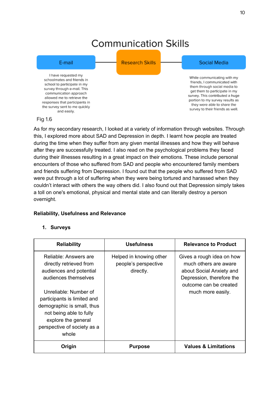### **Communication Skills**



#### Fig 1.6

As for my secondary research, I looked at a variety of information through websites. Through this, I explored more about SAD and Depression in depth. I learnt how people are treated during the time when they suffer from any given mental illnesses and how they will behave after they are successfully treated. I also read on the psychological problems they faced during their illnesses resulting in a great impact on their emotions. These include personal encounters of those who suffered from SAD and people who encountered family members and friends suffering from Depression. I found out that the people who suffered from SAD were put through a lot of suffering when they were being tortured and harassed when they couldn't interact with others the way others did. I also found out that Depression simply takes a toll on one's emotional, physical and mental state and can literally destroy a person overnight.

#### **Reliability, Usefulness and Relevance**

#### **1. Surveys**

| <b>Reliability</b>                                                                                                                                                           | <b>Usefulness</b>                                            | <b>Relevance to Product</b>                                                                                                           |
|------------------------------------------------------------------------------------------------------------------------------------------------------------------------------|--------------------------------------------------------------|---------------------------------------------------------------------------------------------------------------------------------------|
| Reliable: Answers are<br>directly retrieved from<br>audiences and potential<br>audiences themselves                                                                          | Helped in knowing other<br>people's perspective<br>directly. | Gives a rough idea on how<br>much others are aware<br>about Social Anxiety and<br>Depression, therefore the<br>outcome can be created |
| Unreliable: Number of<br>participants is limited and<br>demographic is small, thus<br>not being able to fully<br>explore the general<br>perspective of society as a<br>whole |                                                              | much more easily.                                                                                                                     |
| Origin                                                                                                                                                                       | <b>Purpose</b>                                               | <b>Values &amp; Limitations</b>                                                                                                       |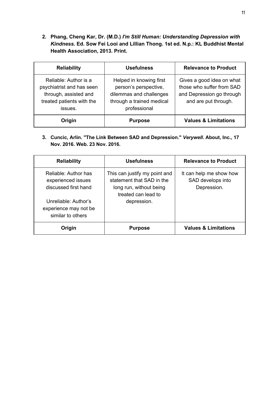**2. Phang, Cheng Kar, Dr. (M.D.)** *I'm Still Human: Understanding Depression with Kindness***. Ed. Sow Fei Looi and Lillian Thong. 1st ed. N.p.: KL Buddhist Mental Health Association, 2013. Print.**

| <b>Reliability</b>                                                                                                  | <b>Usefulness</b>                                                                                                        | <b>Relevance to Product</b>                                                                                 |
|---------------------------------------------------------------------------------------------------------------------|--------------------------------------------------------------------------------------------------------------------------|-------------------------------------------------------------------------------------------------------------|
| Reliable: Author is a<br>psychiatrist and has seen<br>through, assisted and<br>treated patients with the<br>issues. | Helped in knowing first<br>person's perspective,<br>dilemmas and challenges<br>through a trained medical<br>professional | Gives a good idea on what<br>those who suffer from SAD<br>and Depression go through<br>and are put through. |
| Origin                                                                                                              | <b>Purpose</b>                                                                                                           | <b>Values &amp; Limitations</b>                                                                             |

**3. Cuncic, Arlin. "The Link Between SAD and Depression."** *Verywell***. About, Inc., 17 Nov. 2016. Web. 23 Nov. 2016.**

| <b>Reliability</b>                                                                         | Usefulness                                                                                                                  | <b>Relevance to Product</b>                                 |
|--------------------------------------------------------------------------------------------|-----------------------------------------------------------------------------------------------------------------------------|-------------------------------------------------------------|
| Reliable: Author has<br>experienced issues<br>discussed first hand<br>Unreliable: Author's | This can justify my point and<br>statement that SAD in the<br>long run, without being<br>treated can lead to<br>depression. | It can help me show how<br>SAD develops into<br>Depression. |
| experience may not be<br>similar to others                                                 |                                                                                                                             |                                                             |
| Origin                                                                                     | <b>Purpose</b>                                                                                                              | <b>Values &amp; Limitations</b>                             |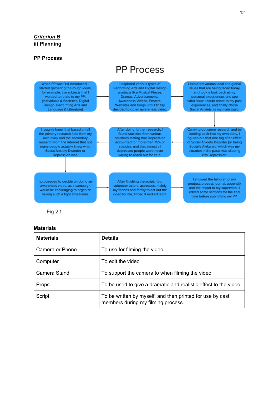#### *Criterion B* **ii) Planning**

#### **PP Process**

### **PP Process**



Fig 2.1

#### **Materials**

| <b>Materials</b> | <b>Details</b>                                                                                  |
|------------------|-------------------------------------------------------------------------------------------------|
| Camera or Phone  | To use for filming the video                                                                    |
| Computer         | To edit the video                                                                               |
| Camera Stand     | To support the camera to when filming the video                                                 |
| <b>Props</b>     | To be used to give a dramatic and realistic effect to the video                                 |
| Script           | To be written by myself, and then printed for use by cast<br>members during my filming process. |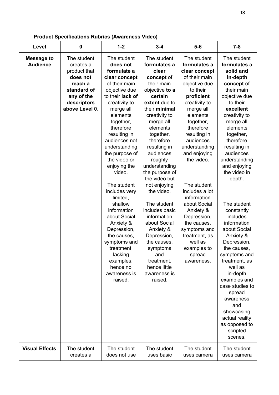| <b>Product Specifications Rubrics (Awareness Video)</b> |  |  |  |
|---------------------------------------------------------|--|--|--|
|---------------------------------------------------------|--|--|--|

| Level                                                         | $\mathbf 0$                                                                                                                                  | $1 - 2$                                                                                                                                                                                                                                                                                                                                                                                                                                                                                                                                      | $3 - 4$                                                                                                                                                                                                                                                                                                                                                                                                                                                                                                                             | $5-6$                                                                                                                                                                                                                                                                                                                                                                                                                                                                 | $7 - 8$                                                                                                                                                                                                                                                                                                                                                                                                                                                                                                                                                                                                                   |
|---------------------------------------------------------------|----------------------------------------------------------------------------------------------------------------------------------------------|----------------------------------------------------------------------------------------------------------------------------------------------------------------------------------------------------------------------------------------------------------------------------------------------------------------------------------------------------------------------------------------------------------------------------------------------------------------------------------------------------------------------------------------------|-------------------------------------------------------------------------------------------------------------------------------------------------------------------------------------------------------------------------------------------------------------------------------------------------------------------------------------------------------------------------------------------------------------------------------------------------------------------------------------------------------------------------------------|-----------------------------------------------------------------------------------------------------------------------------------------------------------------------------------------------------------------------------------------------------------------------------------------------------------------------------------------------------------------------------------------------------------------------------------------------------------------------|---------------------------------------------------------------------------------------------------------------------------------------------------------------------------------------------------------------------------------------------------------------------------------------------------------------------------------------------------------------------------------------------------------------------------------------------------------------------------------------------------------------------------------------------------------------------------------------------------------------------------|
| <b>Message to</b><br><b>Audience</b><br><b>Visual Effects</b> | The student<br>creates a<br>product that<br>does not<br>reach a<br>standard of<br>any of the<br>descriptors<br>above Level 0.<br>The student | The student<br>does not<br>formulate a<br>clear concept<br>of their main<br>objective due<br>to their lack of<br>creativity to<br>merge all<br>elements<br>together,<br>therefore<br>resulting in<br>audiences not<br>understanding<br>the purpose of<br>the video or<br>enjoying the<br>video.<br>The student<br>includes very<br>limited,<br>shallow<br>information<br>about Social<br>Anxiety &<br>Depression,<br>the causes,<br>symptoms and<br>treatment,<br>lacking<br>examples,<br>hence no<br>awareness is<br>raised.<br>The student | The student<br>formulates a<br>clear<br>concept of<br>their main<br>objective to a<br>certain<br>extent due to<br>their minimal<br>creativity to<br>merge all<br>elements<br>together,<br>therefore<br>resulting in<br>audiences<br>roughly<br>understanding<br>the purpose of<br>the video but<br>not enjoying<br>the video.<br>The student<br>includes basic<br>information<br>about Social<br>Anxiety &<br>Depression,<br>the causes,<br>symptoms<br>and<br>treatment,<br>hence little<br>awareness is<br>raised.<br>The student | The student<br>formulates a<br>clear concept<br>of their main<br>objective due<br>to their<br>proficient<br>creativity to<br>merge all<br>elements<br>together,<br>therefore<br>resulting in<br>audiences<br>understanding<br>and enjoying<br>the video.<br>The student<br>includes a lot<br>information<br>about Social<br>Anxiety &<br>Depression,<br>the causes,<br>symptoms and<br>treatment, as<br>well as<br>examples to<br>spread<br>awareness.<br>The student | The student<br>formulates a<br>solid and<br>in-depth<br>concept of<br>their main<br>objective due<br>to their<br>excellent<br>creativity to<br>merge all<br>elements<br>together,<br>therefore<br>resulting in<br>audiences<br>understanding<br>and enjoying<br>the video in<br>depth.<br>The student<br>constantly<br>includes<br>information<br>about Social<br>Anxiety &<br>Depression,<br>the causes,<br>symptoms and<br>treatment, as<br>well as<br>in-depth<br>examples and<br>case studies to<br>spread<br>awareness<br>and<br>showcasing<br>actual reality<br>as opposed to<br>scripted<br>scenes.<br>The student |
|                                                               | creates a                                                                                                                                    | does not use                                                                                                                                                                                                                                                                                                                                                                                                                                                                                                                                 | uses basic                                                                                                                                                                                                                                                                                                                                                                                                                                                                                                                          | uses camera                                                                                                                                                                                                                                                                                                                                                                                                                                                           | uses camera                                                                                                                                                                                                                                                                                                                                                                                                                                                                                                                                                                                                               |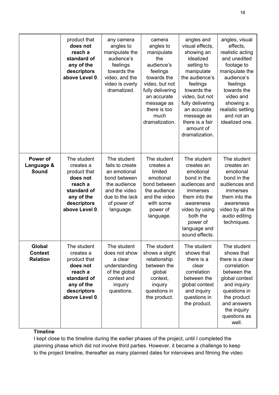|                                             | product that<br>does not<br>reach a<br>standard of<br>any of the<br>descriptors<br>above Level 0.                             | any camera<br>angles to<br>manipulate the<br>audience's<br>feelings<br>towards the<br>video, and the<br>video is overly<br>dramatized.         | camera<br>angles to<br>manipulate<br>the<br>audience's<br>feelings<br>towards the<br>video, but not<br>fully delivering<br>an accurate<br>message as<br>there is too<br>much<br>dramatization. | angles and<br>visual effects,<br>showing an<br>idealized<br>setting to<br>manipulate<br>the audience's<br>feelings<br>towards the<br>video, but not<br>fully delivering<br>an accurate<br>message as<br>there is a fair<br>amount of<br>dramatization. | angles, visual<br>effects,<br>realistic acting<br>and unedited<br>footage to<br>manipulate the<br>audience's<br>feelings<br>towards the<br>video and<br>showing a<br>realistic setting<br>and not an<br>idealized one. |
|---------------------------------------------|-------------------------------------------------------------------------------------------------------------------------------|------------------------------------------------------------------------------------------------------------------------------------------------|------------------------------------------------------------------------------------------------------------------------------------------------------------------------------------------------|--------------------------------------------------------------------------------------------------------------------------------------------------------------------------------------------------------------------------------------------------------|------------------------------------------------------------------------------------------------------------------------------------------------------------------------------------------------------------------------|
| Power of<br>Language &<br><b>Sound</b>      | The student<br>creates a<br>product that<br>does not<br>reach a<br>standard of<br>any of the<br>descriptors<br>above Level 0. | The student<br>fails to create<br>an emotional<br>bond between<br>the audience<br>and the video<br>due to the lack<br>of power of<br>language. | The student<br>creates a<br>limited<br>emotional<br>bond between<br>the audience<br>and the video<br>with some<br>power of<br>language.                                                        | The student<br>creates an<br>emotional<br>bond in the<br>audiences and<br>immerses<br>them into the<br>awareness<br>video by using<br>both the<br>power of<br>language and<br>sound effects.                                                           | The student<br>creates an<br>emotional<br>bond in the<br>audiences and<br>immerses<br>them into the<br>awareness<br>video by all the<br>audio editing<br>techniques.                                                   |
| Global<br><b>Context</b><br><b>Relation</b> | The student<br>creates a<br>product that<br>does not<br>reach a<br>standard of<br>any of the<br>descriptors<br>above Level 0. | The student<br>does not show<br>a clear<br>understanding<br>of the global<br>context and<br>inquiry<br>questions.                              | The student<br>shows a slight<br>relationship<br>between the<br>global<br>context,<br>inquiry<br>questions in<br>the product.                                                                  | The student<br>shows that<br>there is a<br>clear<br>correlation<br>between the<br>global context<br>and inquiry<br>questions in<br>the product.                                                                                                        | The student<br>shows that<br>there is a clear<br>correlation<br>between the<br>global context<br>and inquiry<br>questions in<br>the product<br>and answers<br>the inquiry<br>questions as<br>well.                     |

#### **Timeline**

I kept close to the timeline during the earlier phases of the project, until I completed the planning phase which did not involve third parties. However, it became a challenge to keep to the project timeline, thereafter as many planned dates for interviews and filming the video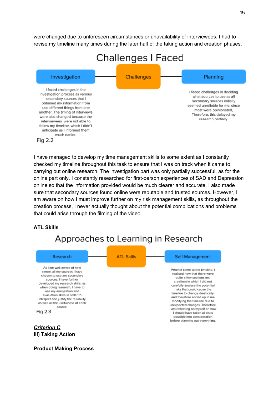were changed due to unforeseen circumstances or unavailability of interviewees. I had to revise my timeline many times during the later half of the taking action and creation phases.



I have managed to develop my time management skills to some extent as I constantly checked my timeline throughout this task to ensure that I was on track when it came to carrying out online research. The investigation part was only partially successful, as for the online part only. I constantly researched for first-person experiences of SAD and Depression online so that the information provided would be much clearer and accurate. I also made sure that secondary sources found online were reputable and trusted sources. However, I am aware on how I must improve further on my risk management skills, as throughout the creation process, I never actually thought about the potential complications and problems that could arise through the filming of the video.

#### **ATL Skills**

### Approaches to Learning in Research



#### **iii) Taking Action**

#### **Product Making Process**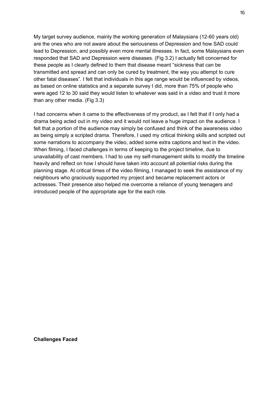My target survey audience, mainly the working generation of Malaysians (12-60 years old) are the ones who are not aware about the seriousness of Depression and how SAD could lead to Depression, and possibly even more mental illnesses. In fact, some Malaysians even responded that SAD and Depression were diseases. (Fig 3.2) I actually felt concerned for these people as I clearly defined to them that disease meant "sickness that can be transmitted and spread and can only be cured by treatment, the way you attempt to cure other fatal diseases". I felt that individuals in this age range would be influenced by videos, as based on online statistics and a separate survey I did, more than 75% of people who were aged 12 to 30 said they would listen to whatever was said in a video and trust it more than any other media. (Fig 3.3)

I had concerns when it came to the effectiveness of my product, as I felt that if I only had a drama being acted out in my video and it would not leave a huge impact on the audience. I felt that a portion of the audience may simply be confused and think of the awareness video as being simply a scripted drama. Therefore, I used my critical thinking skills and scripted out some narrations to accompany the video, added some extra captions and text in the video. When filming, I faced challenges in terms of keeping to the project timeline, due to unavailability of cast members. I had to use my self-management skills to modify the timeline heavily and reflect on how I should have taken into account all potential risks during the planning stage. At critical times of the video filming, I managed to seek the assistance of my neighbours who graciously supported my project and became replacement actors or actresses. Their presence also helped me overcome a reliance of young teenagers and introduced people of the appropriate age for the each role.

**Challenges Faced**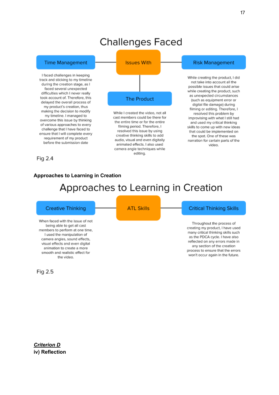### **Challenges Faced**



#### **Approaches to Learning in Creation**

### Approaches to Learning in Creation

#### **Creative Thinking**

When faced with the issue of not being able to get all cast members to perform at one time, I used the manipulation of camera angles, sound effects, visual effects and even digital animation to create a more smooth and realistic effect for the video.

Fig 2.5

**ATL Skills** 

#### **Critical Thinking Skills**

Throughout the process of creating my product, I have used many critical thinking skills such as the PDCA cycle. I have also reflected on any errors made in any section of the creation process to ensure that the errors won't occur again in the future.

*Criterion D* **iv) Reflection**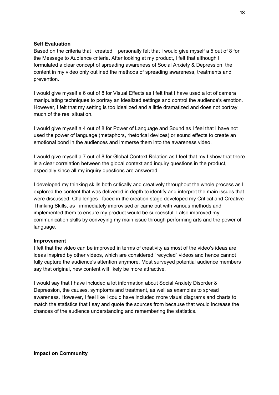#### **Self Evaluation**

Based on the criteria that I created, I personally felt that I would give myself a 5 out of 8 for the Message to Audience criteria. After looking at my product, I felt that although I formulated a clear concept of spreading awareness of Social Anxiety & Depression, the content in my video only outlined the methods of spreading awareness, treatments and prevention.

I would give myself a 6 out of 8 for Visual Effects as I felt that I have used a lot of camera manipulating techniques to portray an idealized settings and control the audience's emotion. However, I felt that my setting is too idealized and a little dramatized and does not portray much of the real situation.

I would give myself a 4 out of 8 for Power of Language and Sound as I feel that I have not used the power of language (metaphors, rhetorical devices) or sound effects to create an emotional bond in the audiences and immerse them into the awareness video.

I would give myself a 7 out of 8 for Global Context Relation as I feel that my I show that there is a clear correlation between the global context and inquiry questions in the product, especially since all my inquiry questions are answered.

I developed my thinking skills both critically and creatively throughout the whole process as I explored the content that was delivered in depth to identify and interpret the main issues that were discussed. Challenges I faced in the creation stage developed my Critical and Creative Thinking Skills, as I immediately improvised or came out with various methods and implemented them to ensure my product would be successful. I also improved my communication skills by conveying my main issue through performing arts and the power of language.

#### **Improvement**

I felt that the video can be improved in terms of creativity as most of the video's ideas are ideas inspired by other videos, which are considered "recycled" videos and hence cannot fully capture the audience's attention anymore. Most surveyed potential audience members say that original, new content will likely be more attractive.

I would say that I have included a lot information about Social Anxiety Disorder & Depression, the causes, symptoms and treatment, as well as examples to spread awareness. However, I feel like I could have included more visual diagrams and charts to match the statistics that I say and quote the sources from because that would increase the chances of the audience understanding and remembering the statistics.